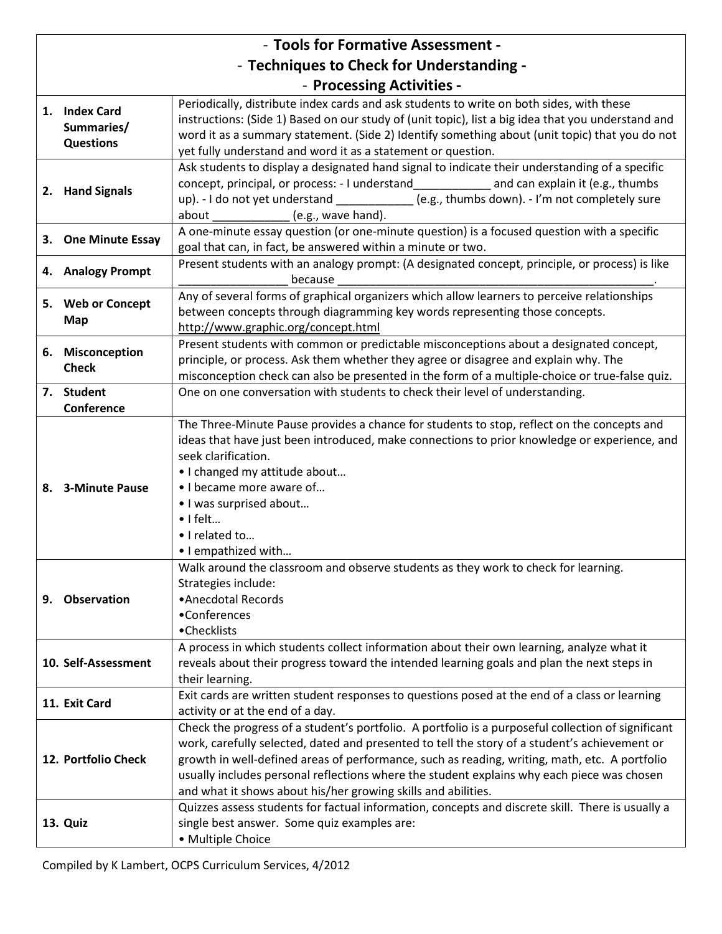| - Tools for Formative Assessment - |                                           |                                                                                                    |  |  |
|------------------------------------|-------------------------------------------|----------------------------------------------------------------------------------------------------|--|--|
|                                    | - Techniques to Check for Understanding - |                                                                                                    |  |  |
|                                    |                                           | - Processing Activities -                                                                          |  |  |
|                                    |                                           | Periodically, distribute index cards and ask students to write on both sides, with these           |  |  |
|                                    | 1. Index Card                             | instructions: (Side 1) Based on our study of (unit topic), list a big idea that you understand and |  |  |
|                                    | Summaries/                                | word it as a summary statement. (Side 2) Identify something about (unit topic) that you do not     |  |  |
|                                    | <b>Questions</b>                          | yet fully understand and word it as a statement or question.                                       |  |  |
|                                    |                                           | Ask students to display a designated hand signal to indicate their understanding of a specific     |  |  |
|                                    |                                           | concept, principal, or process: - I understand and can explain it (e.g., thumbs                    |  |  |
|                                    | 2. Hand Signals                           | up). - I do not yet understand ___________ (e.g., thumbs down). - I'm not completely sure          |  |  |
|                                    |                                           | (e.g., wave hand).<br>about                                                                        |  |  |
| 3.                                 | <b>One Minute Essay</b>                   | A one-minute essay question (or one-minute question) is a focused question with a specific         |  |  |
|                                    |                                           | goal that can, in fact, be answered within a minute or two.                                        |  |  |
|                                    | 4. Analogy Prompt                         | Present students with an analogy prompt: (A designated concept, principle, or process) is like     |  |  |
|                                    |                                           | because                                                                                            |  |  |
|                                    | 5. Web or Concept                         | Any of several forms of graphical organizers which allow learners to perceive relationships        |  |  |
|                                    | Map                                       | between concepts through diagramming key words representing those concepts.                        |  |  |
|                                    |                                           | http://www.graphic.org/concept.html                                                                |  |  |
| 6.                                 | <b>Misconception</b>                      | Present students with common or predictable misconceptions about a designated concept,             |  |  |
|                                    | <b>Check</b>                              | principle, or process. Ask them whether they agree or disagree and explain why. The                |  |  |
|                                    |                                           | misconception check can also be presented in the form of a multiple-choice or true-false quiz.     |  |  |
|                                    | 7. Student                                | One on one conversation with students to check their level of understanding.                       |  |  |
|                                    | Conference                                | The Three-Minute Pause provides a chance for students to stop, reflect on the concepts and         |  |  |
|                                    | <b>3-Minute Pause</b>                     | ideas that have just been introduced, make connections to prior knowledge or experience, and       |  |  |
|                                    |                                           | seek clarification.                                                                                |  |  |
|                                    |                                           | • I changed my attitude about                                                                      |  |  |
| 8.                                 |                                           | • I became more aware of                                                                           |  |  |
|                                    |                                           | • I was surprised about                                                                            |  |  |
|                                    |                                           | $\bullet$ I felt                                                                                   |  |  |
|                                    |                                           | · I related to                                                                                     |  |  |
|                                    |                                           | • I empathized with                                                                                |  |  |
|                                    | Observation                               | Walk around the classroom and observe students as they work to check for learning.                 |  |  |
|                                    |                                           | Strategies include:                                                                                |  |  |
| 9.                                 |                                           | • Anecdotal Records                                                                                |  |  |
|                                    |                                           | •Conferences                                                                                       |  |  |
|                                    |                                           | •Checklists                                                                                        |  |  |
|                                    | 10. Self-Assessment                       | A process in which students collect information about their own learning, analyze what it          |  |  |
|                                    |                                           | reveals about their progress toward the intended learning goals and plan the next steps in         |  |  |
|                                    |                                           | their learning.                                                                                    |  |  |
|                                    | 11. Exit Card                             | Exit cards are written student responses to questions posed at the end of a class or learning      |  |  |
|                                    |                                           | activity or at the end of a day.                                                                   |  |  |
|                                    |                                           | Check the progress of a student's portfolio. A portfolio is a purposeful collection of significant |  |  |
|                                    | 12. Portfolio Check                       | work, carefully selected, dated and presented to tell the story of a student's achievement or      |  |  |
|                                    |                                           | growth in well-defined areas of performance, such as reading, writing, math, etc. A portfolio      |  |  |
|                                    |                                           | usually includes personal reflections where the student explains why each piece was chosen         |  |  |
|                                    |                                           | and what it shows about his/her growing skills and abilities.                                      |  |  |
|                                    |                                           | Quizzes assess students for factual information, concepts and discrete skill. There is usually a   |  |  |
|                                    | 13. Quiz                                  | single best answer. Some quiz examples are:                                                        |  |  |
|                                    |                                           | • Multiple Choice                                                                                  |  |  |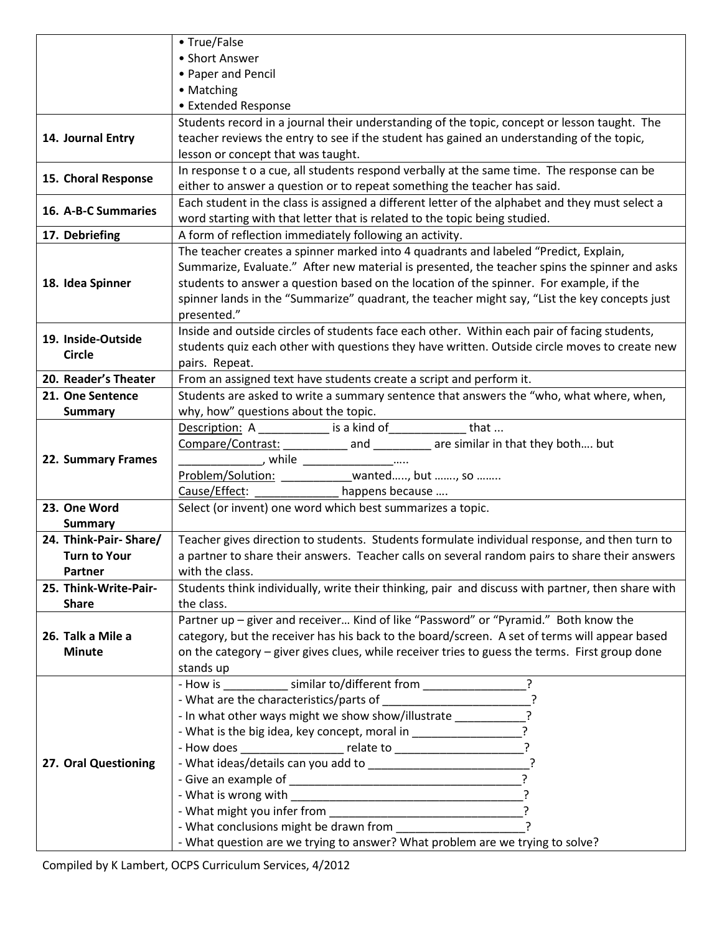|                       | • True/False                                                                                      |
|-----------------------|---------------------------------------------------------------------------------------------------|
|                       | • Short Answer                                                                                    |
|                       | • Paper and Pencil                                                                                |
|                       | • Matching                                                                                        |
|                       | • Extended Response                                                                               |
|                       | Students record in a journal their understanding of the topic, concept or lesson taught. The      |
| 14. Journal Entry     | teacher reviews the entry to see if the student has gained an understanding of the topic,         |
|                       | lesson or concept that was taught.                                                                |
| 15. Choral Response   | In response t o a cue, all students respond verbally at the same time. The response can be        |
|                       | either to answer a question or to repeat something the teacher has said.                          |
| 16. A-B-C Summaries   | Each student in the class is assigned a different letter of the alphabet and they must select a   |
|                       | word starting with that letter that is related to the topic being studied.                        |
| 17. Debriefing        | A form of reflection immediately following an activity.                                           |
|                       | The teacher creates a spinner marked into 4 quadrants and labeled "Predict, Explain,              |
|                       | Summarize, Evaluate." After new material is presented, the teacher spins the spinner and asks     |
| 18. Idea Spinner      | students to answer a question based on the location of the spinner. For example, if the           |
|                       | spinner lands in the "Summarize" quadrant, the teacher might say, "List the key concepts just     |
|                       | presented."                                                                                       |
|                       | Inside and outside circles of students face each other. Within each pair of facing students,      |
| 19. Inside-Outside    | students quiz each other with questions they have written. Outside circle moves to create new     |
| <b>Circle</b>         | pairs. Repeat.                                                                                    |
| 20. Reader's Theater  | From an assigned text have students create a script and perform it.                               |
| 21. One Sentence      | Students are asked to write a summary sentence that answers the "who, what where, when,           |
| <b>Summary</b>        | why, how" questions about the topic.                                                              |
|                       | Description: A _____________ is a kind of _______________ that                                    |
|                       | Compare/Contrast: ____________ and __________ are similar in that they both but                   |
| 22. Summary Frames    |                                                                                                   |
|                       | Problem/Solution: ______________wanted, but , so                                                  |
|                       | Cause/Effect:<br>happens because                                                                  |
| 23. One Word          | Select (or invent) one word which best summarizes a topic.                                        |
| <b>Summary</b>        |                                                                                                   |
| 24. Think-Pair-Share/ | Teacher gives direction to students. Students formulate individual response, and then turn to     |
| <b>Turn to Your</b>   | a partner to share their answers. Teacher calls on several random pairs to share their answers    |
| <b>Partner</b>        | with the class.                                                                                   |
| 25. Think-Write-Pair- | Students think individually, write their thinking, pair and discuss with partner, then share with |
| <b>Share</b>          | the class.                                                                                        |
|                       | Partner up - giver and receiver Kind of like "Password" or "Pyramid." Both know the               |
| 26. Talk a Mile a     | category, but the receiver has his back to the board/screen. A set of terms will appear based     |
| <b>Minute</b>         | on the category - giver gives clues, while receiver tries to guess the terms. First group done    |
|                       | stands up                                                                                         |
|                       | $\overline{z}$<br>- How is ____________ similar to/different from _______________                 |
|                       |                                                                                                   |
|                       | - In what other ways might we show show/illustrate __________                                     |
|                       | - What is the big idea, key concept, moral in __________________________________                  |
|                       |                                                                                                   |
| 27. Oral Questioning  |                                                                                                   |
|                       |                                                                                                   |
|                       |                                                                                                   |
|                       |                                                                                                   |
|                       | - What conclusions might be drawn from                                                            |
|                       | - What question are we trying to answer? What problem are we trying to solve?                     |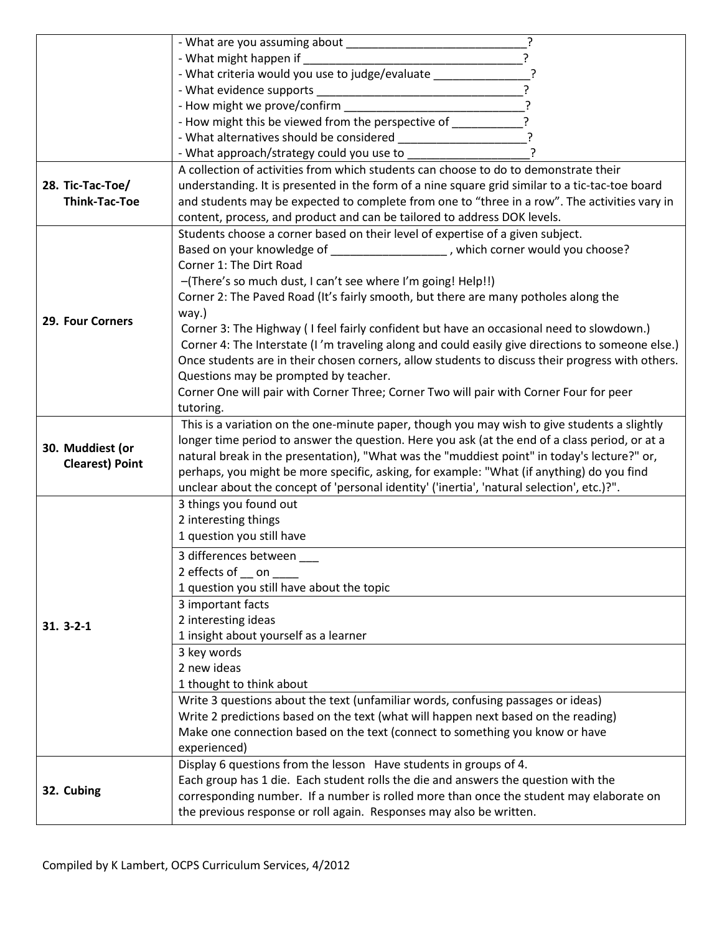|                        | - What might happen if <b>with the contract of the contract of the contract of the contract of the contract of the contract of the contract of the contract of the contract of the contract of the contract of the contract of t</b> |
|------------------------|--------------------------------------------------------------------------------------------------------------------------------------------------------------------------------------------------------------------------------------|
|                        | 2<br>- What criteria would you use to judge/evaluate                                                                                                                                                                                 |
|                        |                                                                                                                                                                                                                                      |
|                        | - How might we prove/confirm<br>?                                                                                                                                                                                                    |
|                        | - How might this be viewed from the perspective of _________                                                                                                                                                                         |
|                        |                                                                                                                                                                                                                                      |
|                        | C<br>- What approach/strategy could you use to                                                                                                                                                                                       |
|                        | A collection of activities from which students can choose to do to demonstrate their                                                                                                                                                 |
| 28. Tic-Tac-Toe/       | understanding. It is presented in the form of a nine square grid similar to a tic-tac-toe board                                                                                                                                      |
| <b>Think-Tac-Toe</b>   | and students may be expected to complete from one to "three in a row". The activities vary in                                                                                                                                        |
|                        | content, process, and product and can be tailored to address DOK levels.                                                                                                                                                             |
|                        | Students choose a corner based on their level of expertise of a given subject.                                                                                                                                                       |
|                        | Based on your knowledge of ____________________, which corner would you choose?                                                                                                                                                      |
|                        | Corner 1: The Dirt Road                                                                                                                                                                                                              |
|                        | -(There's so much dust, I can't see where I'm going! Help!!)                                                                                                                                                                         |
|                        | Corner 2: The Paved Road (It's fairly smooth, but there are many potholes along the                                                                                                                                                  |
| 29. Four Corners       | way.)                                                                                                                                                                                                                                |
|                        | Corner 3: The Highway (I feel fairly confident but have an occasional need to slowdown.)                                                                                                                                             |
|                        | Corner 4: The Interstate (I'm traveling along and could easily give directions to someone else.)                                                                                                                                     |
|                        | Once students are in their chosen corners, allow students to discuss their progress with others.                                                                                                                                     |
|                        | Questions may be prompted by teacher.                                                                                                                                                                                                |
|                        | Corner One will pair with Corner Three; Corner Two will pair with Corner Four for peer                                                                                                                                               |
|                        | tutoring.                                                                                                                                                                                                                            |
|                        | This is a variation on the one-minute paper, though you may wish to give students a slightly                                                                                                                                         |
| 30. Muddiest (or       | longer time period to answer the question. Here you ask (at the end of a class period, or at a                                                                                                                                       |
| <b>Clearest) Point</b> | natural break in the presentation), "What was the "muddiest point" in today's lecture?" or,                                                                                                                                          |
|                        | perhaps, you might be more specific, asking, for example: "What (if anything) do you find                                                                                                                                            |
|                        | unclear about the concept of 'personal identity' ('inertia', 'natural selection', etc.)?".<br>3 things you found out                                                                                                                 |
|                        | 2 interesting things                                                                                                                                                                                                                 |
|                        | 1 question you still have                                                                                                                                                                                                            |
|                        |                                                                                                                                                                                                                                      |
|                        | 3 differences between                                                                                                                                                                                                                |
|                        | 2 effects of __ on                                                                                                                                                                                                                   |
|                        | 1 question you still have about the topic                                                                                                                                                                                            |
|                        | 3 important facts                                                                                                                                                                                                                    |
| $31.3 - 2 - 1$         | 2 interesting ideas                                                                                                                                                                                                                  |
|                        | 1 insight about yourself as a learner                                                                                                                                                                                                |
|                        | 3 key words<br>2 new ideas                                                                                                                                                                                                           |
|                        |                                                                                                                                                                                                                                      |
|                        | 1 thought to think about                                                                                                                                                                                                             |
|                        | Write 3 questions about the text (unfamiliar words, confusing passages or ideas)<br>Write 2 predictions based on the text (what will happen next based on the reading)                                                               |
|                        | Make one connection based on the text (connect to something you know or have                                                                                                                                                         |
|                        | experienced)                                                                                                                                                                                                                         |
|                        | Display 6 questions from the lesson Have students in groups of 4.                                                                                                                                                                    |
|                        | Each group has 1 die. Each student rolls the die and answers the question with the                                                                                                                                                   |
| 32. Cubing             | corresponding number. If a number is rolled more than once the student may elaborate on                                                                                                                                              |
|                        | the previous response or roll again. Responses may also be written.                                                                                                                                                                  |
|                        |                                                                                                                                                                                                                                      |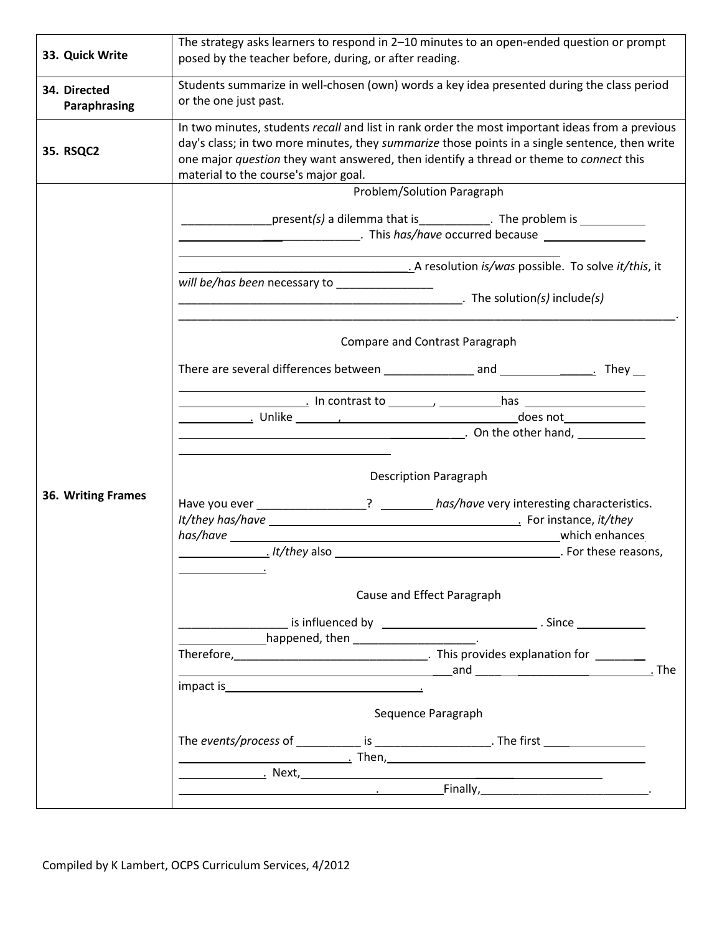| 33. Quick Write              | posed by the teacher before, during, or after reading.                                                                                                                                                                               | The strategy asks learners to respond in 2-10 minutes to an open-ended question or prompt                                                                                                                                                                                                                 |
|------------------------------|--------------------------------------------------------------------------------------------------------------------------------------------------------------------------------------------------------------------------------------|-----------------------------------------------------------------------------------------------------------------------------------------------------------------------------------------------------------------------------------------------------------------------------------------------------------|
| 34. Directed<br>Paraphrasing | or the one just past.                                                                                                                                                                                                                | Students summarize in well-chosen (own) words a key idea presented during the class period                                                                                                                                                                                                                |
| 35. RSQC2                    | one major question they want answered, then identify a thread or theme to connect this<br>material to the course's major goal.                                                                                                       | In two minutes, students recall and list in rank order the most important ideas from a previous<br>day's class; in two more minutes, they summarize those points in a single sentence, then write                                                                                                         |
|                              |                                                                                                                                                                                                                                      | Problem/Solution Paragraph                                                                                                                                                                                                                                                                                |
|                              |                                                                                                                                                                                                                                      | present(s) a dilemma that is _____________. The problem is ____________<br>and the contract of the contract of the contract of the contract of the contract of the contract of the contract of the contract of the contract of the contract of the contract of the contract of the contract of the contra |
|                              |                                                                                                                                                                                                                                      | . A resolution <i>is/was</i> possible. To solve <i>it/this</i> , it                                                                                                                                                                                                                                       |
|                              | will be/has been necessary to _________________                                                                                                                                                                                      | The solution(s) include(s)                                                                                                                                                                                                                                                                                |
|                              |                                                                                                                                                                                                                                      | Compare and Contrast Paragraph                                                                                                                                                                                                                                                                            |
|                              |                                                                                                                                                                                                                                      |                                                                                                                                                                                                                                                                                                           |
|                              |                                                                                                                                                                                                                                      |                                                                                                                                                                                                                                                                                                           |
|                              |                                                                                                                                                                                                                                      |                                                                                                                                                                                                                                                                                                           |
|                              |                                                                                                                                                                                                                                      | <b>Example 20</b> Contract Contract Contract Contract Contract Contract Contract Contract Contract Contract Contract Contract Contract Contract Contract Contract Contract Contract Contract Contract Contract Contract Contract Co                                                                       |
|                              |                                                                                                                                                                                                                                      | <b>Description Paragraph</b>                                                                                                                                                                                                                                                                              |
| 36. Writing Frames           | Have you ever ___________________? __________has/have very interesting characteristics.                                                                                                                                              |                                                                                                                                                                                                                                                                                                           |
|                              | has/have                                                                                                                                                                                                                             | which enhances which enhances                                                                                                                                                                                                                                                                             |
|                              |                                                                                                                                                                                                                                      |                                                                                                                                                                                                                                                                                                           |
|                              |                                                                                                                                                                                                                                      | Cause and Effect Paragraph                                                                                                                                                                                                                                                                                |
|                              |                                                                                                                                                                                                                                      | <b>Example 2018</b> is influenced by <u><b>witch and the contract of the contract of the contract of the contract of the contract of the contract of the contract of the contract of the contract of the contract of the contract of th</b></u>                                                           |
|                              | happened, then _____________________.                                                                                                                                                                                                |                                                                                                                                                                                                                                                                                                           |
|                              |                                                                                                                                                                                                                                      | and the contract of the contract of the contract of the contract of the contract of the contract of the contract of the contract of the contract of the contract of the contract of the contract of the contract of the contra                                                                            |
|                              |                                                                                                                                                                                                                                      |                                                                                                                                                                                                                                                                                                           |
|                              |                                                                                                                                                                                                                                      | Sequence Paragraph                                                                                                                                                                                                                                                                                        |
|                              |                                                                                                                                                                                                                                      |                                                                                                                                                                                                                                                                                                           |
|                              |                                                                                                                                                                                                                                      |                                                                                                                                                                                                                                                                                                           |
|                              | <u>Next, extra and the contract of the contract of the contract of the contract of the contract of the contract of the contract of the contract of the contract of the contract of the contract of the contract of the contract </u> | <u>Finally, Eq. (2008)</u>                                                                                                                                                                                                                                                                                |
|                              |                                                                                                                                                                                                                                      |                                                                                                                                                                                                                                                                                                           |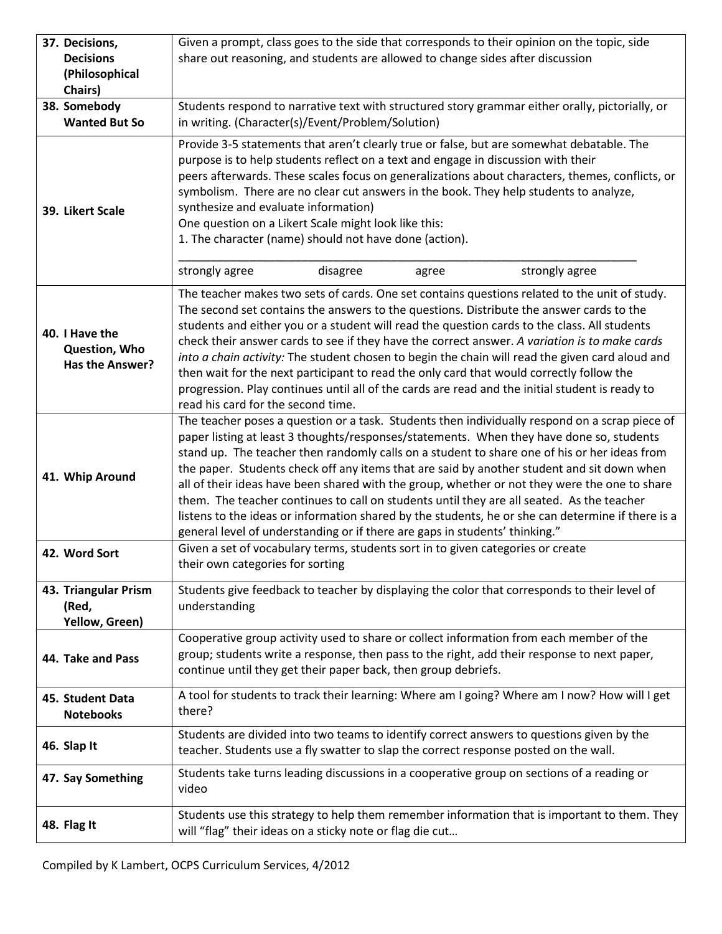| 37. Decisions,                                     | Given a prompt, class goes to the side that corresponds to their opinion on the topic, side                                                                                                                                                                                                                                                                                                                                                                                                                                                                                                                                                                                                                                                                                |  |
|----------------------------------------------------|----------------------------------------------------------------------------------------------------------------------------------------------------------------------------------------------------------------------------------------------------------------------------------------------------------------------------------------------------------------------------------------------------------------------------------------------------------------------------------------------------------------------------------------------------------------------------------------------------------------------------------------------------------------------------------------------------------------------------------------------------------------------------|--|
| <b>Decisions</b>                                   | share out reasoning, and students are allowed to change sides after discussion                                                                                                                                                                                                                                                                                                                                                                                                                                                                                                                                                                                                                                                                                             |  |
| (Philosophical                                     |                                                                                                                                                                                                                                                                                                                                                                                                                                                                                                                                                                                                                                                                                                                                                                            |  |
| Chairs)                                            |                                                                                                                                                                                                                                                                                                                                                                                                                                                                                                                                                                                                                                                                                                                                                                            |  |
| 38. Somebody                                       | Students respond to narrative text with structured story grammar either orally, pictorially, or                                                                                                                                                                                                                                                                                                                                                                                                                                                                                                                                                                                                                                                                            |  |
| <b>Wanted But So</b>                               | in writing. (Character(s)/Event/Problem/Solution)                                                                                                                                                                                                                                                                                                                                                                                                                                                                                                                                                                                                                                                                                                                          |  |
| 39. Likert Scale                                   | Provide 3-5 statements that aren't clearly true or false, but are somewhat debatable. The<br>purpose is to help students reflect on a text and engage in discussion with their<br>peers afterwards. These scales focus on generalizations about characters, themes, conflicts, or<br>symbolism. There are no clear cut answers in the book. They help students to analyze,<br>synthesize and evaluate information)<br>One question on a Likert Scale might look like this:<br>1. The character (name) should not have done (action).<br>strongly agree<br>disagree<br>strongly agree<br>agree                                                                                                                                                                              |  |
|                                                    |                                                                                                                                                                                                                                                                                                                                                                                                                                                                                                                                                                                                                                                                                                                                                                            |  |
| 40. I Have the<br>Question, Who<br>Has the Answer? | The teacher makes two sets of cards. One set contains questions related to the unit of study.<br>The second set contains the answers to the questions. Distribute the answer cards to the<br>students and either you or a student will read the question cards to the class. All students<br>check their answer cards to see if they have the correct answer. A variation is to make cards<br>into a chain activity: The student chosen to begin the chain will read the given card aloud and<br>then wait for the next participant to read the only card that would correctly follow the<br>progression. Play continues until all of the cards are read and the initial student is ready to<br>read his card for the second time.                                         |  |
| 41. Whip Around                                    | The teacher poses a question or a task. Students then individually respond on a scrap piece of<br>paper listing at least 3 thoughts/responses/statements. When they have done so, students<br>stand up. The teacher then randomly calls on a student to share one of his or her ideas from<br>the paper. Students check off any items that are said by another student and sit down when<br>all of their ideas have been shared with the group, whether or not they were the one to share<br>them. The teacher continues to call on students until they are all seated. As the teacher<br>listens to the ideas or information shared by the students, he or she can determine if there is a<br>general level of understanding or if there are gaps in students' thinking." |  |
| 42. Word Sort                                      | Given a set of vocabulary terms, students sort in to given categories or create<br>their own categories for sorting                                                                                                                                                                                                                                                                                                                                                                                                                                                                                                                                                                                                                                                        |  |
| 43. Triangular Prism<br>(Red,<br>Yellow, Green)    | Students give feedback to teacher by displaying the color that corresponds to their level of<br>understanding                                                                                                                                                                                                                                                                                                                                                                                                                                                                                                                                                                                                                                                              |  |
| 44. Take and Pass                                  | Cooperative group activity used to share or collect information from each member of the<br>group; students write a response, then pass to the right, add their response to next paper,<br>continue until they get their paper back, then group debriefs.                                                                                                                                                                                                                                                                                                                                                                                                                                                                                                                   |  |
| 45. Student Data<br><b>Notebooks</b>               | A tool for students to track their learning: Where am I going? Where am I now? How will I get<br>there?                                                                                                                                                                                                                                                                                                                                                                                                                                                                                                                                                                                                                                                                    |  |
| 46. Slap It                                        | Students are divided into two teams to identify correct answers to questions given by the<br>teacher. Students use a fly swatter to slap the correct response posted on the wall.                                                                                                                                                                                                                                                                                                                                                                                                                                                                                                                                                                                          |  |
| 47. Say Something                                  | Students take turns leading discussions in a cooperative group on sections of a reading or<br>video                                                                                                                                                                                                                                                                                                                                                                                                                                                                                                                                                                                                                                                                        |  |
| 48. Flag It                                        | Students use this strategy to help them remember information that is important to them. They<br>will "flag" their ideas on a sticky note or flag die cut                                                                                                                                                                                                                                                                                                                                                                                                                                                                                                                                                                                                                   |  |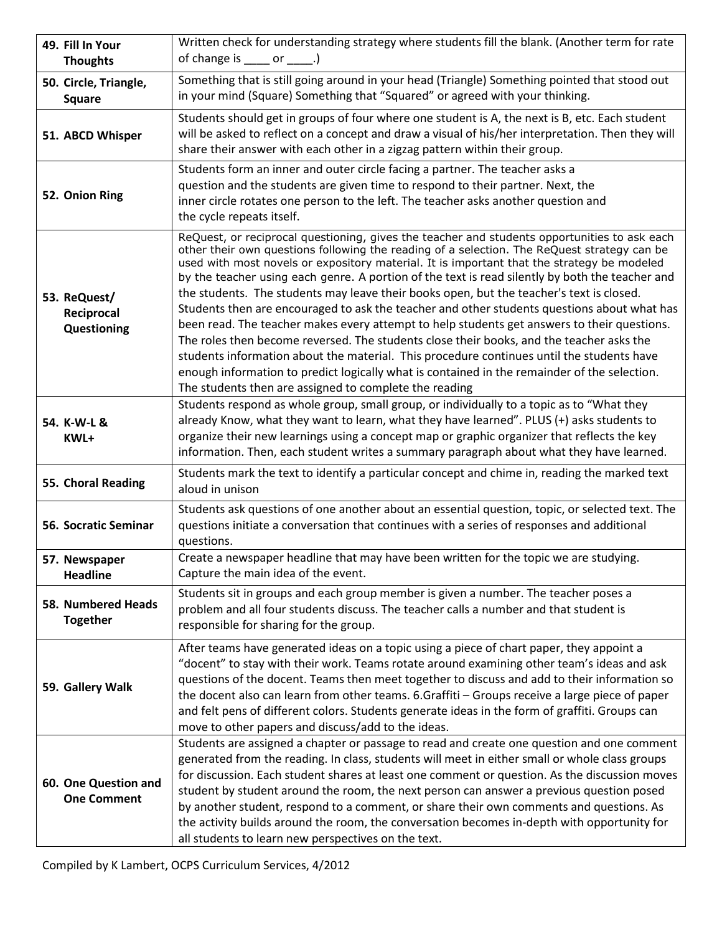| 49. Fill In Your<br><b>Thoughts</b>        | Written check for understanding strategy where students fill the blank. (Another term for rate<br>of change is $\frac{1}{\sqrt{2}}$ or $\frac{1}{\sqrt{2}}$ .                                                                                                                                                                                                                                                                                                                                                                                                                                                                                                                                                                                                                                                                                                                                                                                                                                                                             |
|--------------------------------------------|-------------------------------------------------------------------------------------------------------------------------------------------------------------------------------------------------------------------------------------------------------------------------------------------------------------------------------------------------------------------------------------------------------------------------------------------------------------------------------------------------------------------------------------------------------------------------------------------------------------------------------------------------------------------------------------------------------------------------------------------------------------------------------------------------------------------------------------------------------------------------------------------------------------------------------------------------------------------------------------------------------------------------------------------|
| 50. Circle, Triangle,<br><b>Square</b>     | Something that is still going around in your head (Triangle) Something pointed that stood out<br>in your mind (Square) Something that "Squared" or agreed with your thinking.                                                                                                                                                                                                                                                                                                                                                                                                                                                                                                                                                                                                                                                                                                                                                                                                                                                             |
| 51. ABCD Whisper                           | Students should get in groups of four where one student is A, the next is B, etc. Each student<br>will be asked to reflect on a concept and draw a visual of his/her interpretation. Then they will<br>share their answer with each other in a zigzag pattern within their group.                                                                                                                                                                                                                                                                                                                                                                                                                                                                                                                                                                                                                                                                                                                                                         |
| 52. Onion Ring                             | Students form an inner and outer circle facing a partner. The teacher asks a<br>question and the students are given time to respond to their partner. Next, the<br>inner circle rotates one person to the left. The teacher asks another question and<br>the cycle repeats itself.                                                                                                                                                                                                                                                                                                                                                                                                                                                                                                                                                                                                                                                                                                                                                        |
| 53. ReQuest/<br>Reciprocal<br>Questioning  | ReQuest, or reciprocal questioning, gives the teacher and students opportunities to ask each<br>other their own questions following the reading of a selection. The ReQuest strategy can be<br>used with most novels or expository material. It is important that the strategy be modeled<br>by the teacher using each genre. A portion of the text is read silently by both the teacher and<br>the students. The students may leave their books open, but the teacher's text is closed.<br>Students then are encouraged to ask the teacher and other students questions about what has<br>been read. The teacher makes every attempt to help students get answers to their questions.<br>The roles then become reversed. The students close their books, and the teacher asks the<br>students information about the material. This procedure continues until the students have<br>enough information to predict logically what is contained in the remainder of the selection.<br>The students then are assigned to complete the reading |
| 54. K-W-L &<br>KWL+                        | Students respond as whole group, small group, or individually to a topic as to "What they<br>already Know, what they want to learn, what they have learned". PLUS (+) asks students to<br>organize their new learnings using a concept map or graphic organizer that reflects the key<br>information. Then, each student writes a summary paragraph about what they have learned.                                                                                                                                                                                                                                                                                                                                                                                                                                                                                                                                                                                                                                                         |
| 55. Choral Reading                         | Students mark the text to identify a particular concept and chime in, reading the marked text<br>aloud in unison                                                                                                                                                                                                                                                                                                                                                                                                                                                                                                                                                                                                                                                                                                                                                                                                                                                                                                                          |
| <b>56. Socratic Seminar</b>                | Students ask questions of one another about an essential question, topic, or selected text. The<br>questions initiate a conversation that continues with a series of responses and additional<br>questions.                                                                                                                                                                                                                                                                                                                                                                                                                                                                                                                                                                                                                                                                                                                                                                                                                               |
| 57. Newspaper<br><b>Headline</b>           | Create a newspaper headline that may have been written for the topic we are studying.<br>Capture the main idea of the event.                                                                                                                                                                                                                                                                                                                                                                                                                                                                                                                                                                                                                                                                                                                                                                                                                                                                                                              |
| 58. Numbered Heads<br><b>Together</b>      | Students sit in groups and each group member is given a number. The teacher poses a<br>problem and all four students discuss. The teacher calls a number and that student is<br>responsible for sharing for the group.                                                                                                                                                                                                                                                                                                                                                                                                                                                                                                                                                                                                                                                                                                                                                                                                                    |
| 59. Gallery Walk                           | After teams have generated ideas on a topic using a piece of chart paper, they appoint a<br>"docent" to stay with their work. Teams rotate around examining other team's ideas and ask<br>questions of the docent. Teams then meet together to discuss and add to their information so<br>the docent also can learn from other teams. 6.Graffiti - Groups receive a large piece of paper<br>and felt pens of different colors. Students generate ideas in the form of graffiti. Groups can<br>move to other papers and discuss/add to the ideas.                                                                                                                                                                                                                                                                                                                                                                                                                                                                                          |
| 60. One Question and<br><b>One Comment</b> | Students are assigned a chapter or passage to read and create one question and one comment<br>generated from the reading. In class, students will meet in either small or whole class groups<br>for discussion. Each student shares at least one comment or question. As the discussion moves<br>student by student around the room, the next person can answer a previous question posed<br>by another student, respond to a comment, or share their own comments and questions. As<br>the activity builds around the room, the conversation becomes in-depth with opportunity for<br>all students to learn new perspectives on the text.                                                                                                                                                                                                                                                                                                                                                                                                |